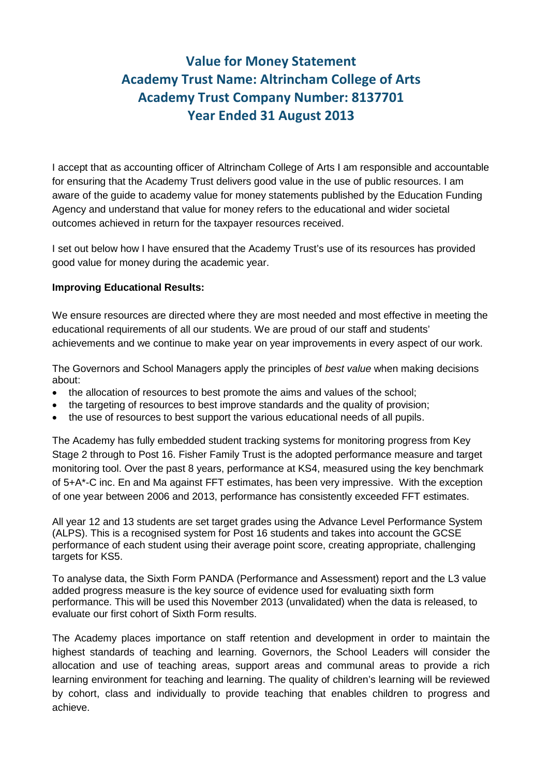# **Value for Money Statement Academy Trust Name: Altrincham College of Arts Academy Trust Company Number: 8137701 Year Ended 31 August 2013**

I accept that as accounting officer of Altrincham College of Arts I am responsible and accountable for ensuring that the Academy Trust delivers good value in the use of public resources. I am aware of the guide to academy value for money statements published by the Education Funding Agency and understand that value for money refers to the educational and wider societal outcomes achieved in return for the taxpayer resources received.

I set out below how I have ensured that the Academy Trust's use of its resources has provided good value for money during the academic year.

#### **Improving Educational Results:**

We ensure resources are directed where they are most needed and most effective in meeting the educational requirements of all our students. We are proud of our staff and students' achievements and we continue to make year on year improvements in every aspect of our work.

The Governors and School Managers apply the principles of *best value* when making decisions about:

- the allocation of resources to best promote the aims and values of the school;
- the targeting of resources to best improve standards and the quality of provision;
- the use of resources to best support the various educational needs of all pupils.

The Academy has fully embedded student tracking systems for monitoring progress from Key Stage 2 through to Post 16. Fisher Family Trust is the adopted performance measure and target monitoring tool. Over the past 8 years, performance at KS4, measured using the key benchmark of 5+A\*-C inc. En and Ma against FFT estimates, has been very impressive. With the exception of one year between 2006 and 2013, performance has consistently exceeded FFT estimates.

All year 12 and 13 students are set target grades using the Advance Level Performance System (ALPS). This is a recognised system for Post 16 students and takes into account the GCSE performance of each student using their average point score, creating appropriate, challenging targets for KS5.

To analyse data, the Sixth Form PANDA (Performance and Assessment) report and the L3 value added progress measure is the key source of evidence used for evaluating sixth form performance. This will be used this November 2013 (unvalidated) when the data is released, to evaluate our first cohort of Sixth Form results.

The Academy places importance on staff retention and development in order to maintain the highest standards of teaching and learning. Governors, the School Leaders will consider the allocation and use of teaching areas, support areas and communal areas to provide a rich learning environment for teaching and learning. The quality of children's learning will be reviewed by cohort, class and individually to provide teaching that enables children to progress and achieve.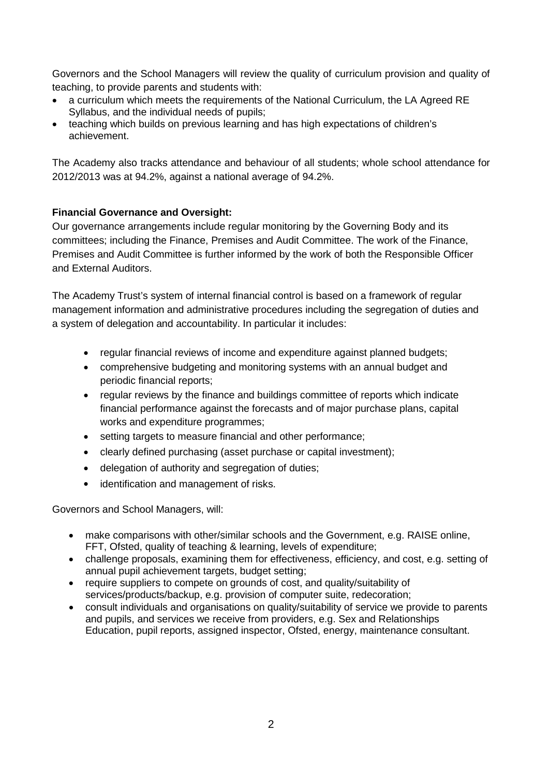Governors and the School Managers will review the quality of curriculum provision and quality of teaching, to provide parents and students with:

- a curriculum which meets the requirements of the National Curriculum, the LA Agreed RE Syllabus, and the individual needs of pupils;
- teaching which builds on previous learning and has high expectations of children's achievement.

The Academy also tracks attendance and behaviour of all students; whole school attendance for 2012/2013 was at 94.2%, against a national average of 94.2%.

## **Financial Governance and Oversight:**

Our governance arrangements include regular monitoring by the Governing Body and its committees; including the Finance, Premises and Audit Committee. The work of the Finance, Premises and Audit Committee is further informed by the work of both the Responsible Officer and External Auditors.

The Academy Trust's system of internal financial control is based on a framework of regular management information and administrative procedures including the segregation of duties and a system of delegation and accountability. In particular it includes:

- regular financial reviews of income and expenditure against planned budgets;
- comprehensive budgeting and monitoring systems with an annual budget and periodic financial reports;
- regular reviews by the finance and buildings committee of reports which indicate financial performance against the forecasts and of major purchase plans, capital works and expenditure programmes;
- setting targets to measure financial and other performance;
- clearly defined purchasing (asset purchase or capital investment);
- delegation of authority and segregation of duties;
- identification and management of risks.

Governors and School Managers, will:

- make comparisons with other/similar schools and the Government, e.g. RAISE online, FFT, Ofsted, quality of teaching & learning, levels of expenditure;
- challenge proposals, examining them for effectiveness, efficiency, and cost, e.g. setting of annual pupil achievement targets, budget setting;
- require suppliers to compete on grounds of cost, and quality/suitability of services/products/backup, e.g. provision of computer suite, redecoration;
- consult individuals and organisations on quality/suitability of service we provide to parents and pupils, and services we receive from providers, e.g. Sex and Relationships Education, pupil reports, assigned inspector, Ofsted, energy, maintenance consultant.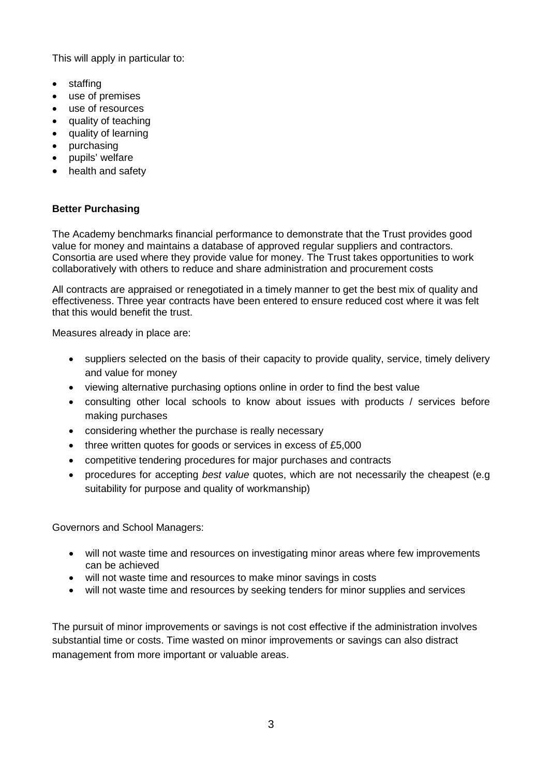This will apply in particular to:

- staffing
- use of premises
- use of resources
- quality of teaching
- quality of learning
- purchasing
- pupils' welfare
- health and safety

## **Better Purchasing**

The Academy benchmarks financial performance to demonstrate that the Trust provides good value for money and maintains a database of approved regular suppliers and contractors. Consortia are used where they provide value for money. The Trust takes opportunities to work collaboratively with others to reduce and share administration and procurement costs

All contracts are appraised or renegotiated in a timely manner to get the best mix of quality and effectiveness. Three year contracts have been entered to ensure reduced cost where it was felt that this would benefit the trust.

Measures already in place are:

- suppliers selected on the basis of their capacity to provide quality, service, timely delivery and value for money
- viewing alternative purchasing options online in order to find the best value
- consulting other local schools to know about issues with products / services before making purchases
- considering whether the purchase is really necessary
- three written quotes for goods or services in excess of £5,000
- competitive tendering procedures for major purchases and contracts
- procedures for accepting *best value* quotes, which are not necessarily the cheapest (e.g suitability for purpose and quality of workmanship)

Governors and School Managers:

- will not waste time and resources on investigating minor areas where few improvements can be achieved
- will not waste time and resources to make minor savings in costs
- will not waste time and resources by seeking tenders for minor supplies and services

The pursuit of minor improvements or savings is not cost effective if the administration involves substantial time or costs. Time wasted on minor improvements or savings can also distract management from more important or valuable areas.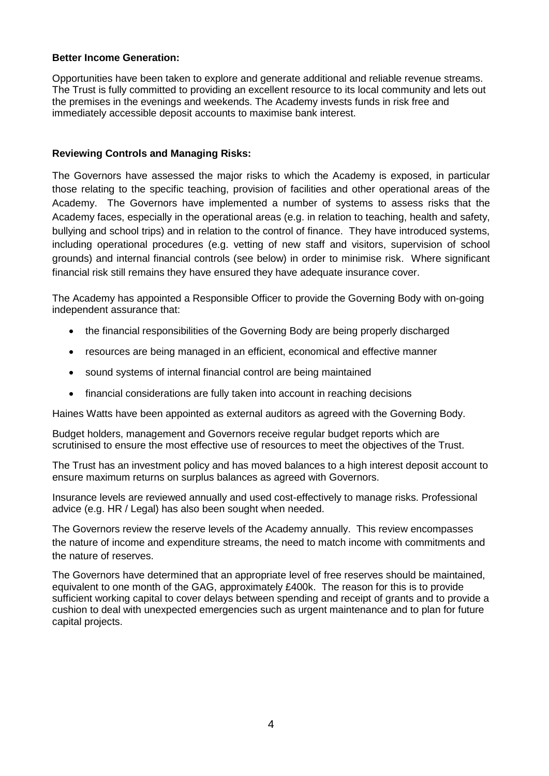#### **Better Income Generation:**

Opportunities have been taken to explore and generate additional and reliable revenue streams. The Trust is fully committed to providing an excellent resource to its local community and lets out the premises in the evenings and weekends. The Academy invests funds in risk free and immediately accessible deposit accounts to maximise bank interest.

#### **Reviewing Controls and Managing Risks:**

The Governors have assessed the major risks to which the Academy is exposed, in particular those relating to the specific teaching, provision of facilities and other operational areas of the Academy. The Governors have implemented a number of systems to assess risks that the Academy faces, especially in the operational areas (e.g. in relation to teaching, health and safety, bullying and school trips) and in relation to the control of finance. They have introduced systems, including operational procedures (e.g. vetting of new staff and visitors, supervision of school grounds) and internal financial controls (see below) in order to minimise risk. Where significant financial risk still remains they have ensured they have adequate insurance cover.

The Academy has appointed a Responsible Officer to provide the Governing Body with on-going independent assurance that:

- the financial responsibilities of the Governing Body are being properly discharged
- resources are being managed in an efficient, economical and effective manner
- sound systems of internal financial control are being maintained
- financial considerations are fully taken into account in reaching decisions

Haines Watts have been appointed as external auditors as agreed with the Governing Body.

Budget holders, management and Governors receive regular budget reports which are scrutinised to ensure the most effective use of resources to meet the objectives of the Trust.

The Trust has an investment policy and has moved balances to a high interest deposit account to ensure maximum returns on surplus balances as agreed with Governors.

Insurance levels are reviewed annually and used cost-effectively to manage risks. Professional advice (e.g. HR / Legal) has also been sought when needed.

The Governors review the reserve levels of the Academy annually. This review encompasses the nature of income and expenditure streams, the need to match income with commitments and the nature of reserves.

The Governors have determined that an appropriate level of free reserves should be maintained, equivalent to one month of the GAG, approximately £400k. The reason for this is to provide sufficient working capital to cover delays between spending and receipt of grants and to provide a cushion to deal with unexpected emergencies such as urgent maintenance and to plan for future capital projects.